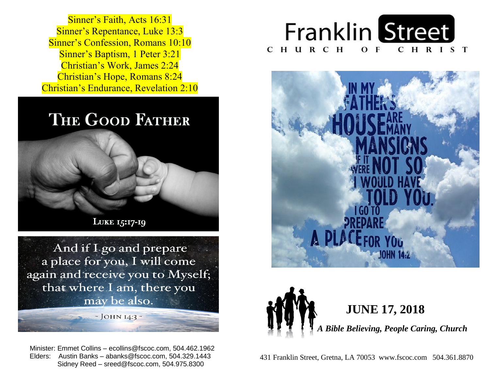**Sinner's Repentance, Luke 13:3 Sinner's Confession, Romans 10:10 Sinner's Baptism, 1 Peter 3:21**  Christian's Work, James 2:24  Christian's Hope, Romans 8:24  Christian's Endurance, Revelation 2:10 Sinner's Faith, Acts 16:31

## THE GOOD FATHER



And if I go and prepare a place for you, I will come again and receive you to Myself; that where I am, there you may be also.

 $\sim$  JOHN I4:3  $\sim$ 

 Minister: Emmet Collins – ecollins@fscoc.com, 504.462.1962  Elders: Austin Banks – abanks@fscoc.com, 504.329.1443 Sidney Reed – sreed@fscoc.com, 504.975.8300







 431 Franklin Street, Gretna, LA 70053 www.fscoc.com 504.361.8870